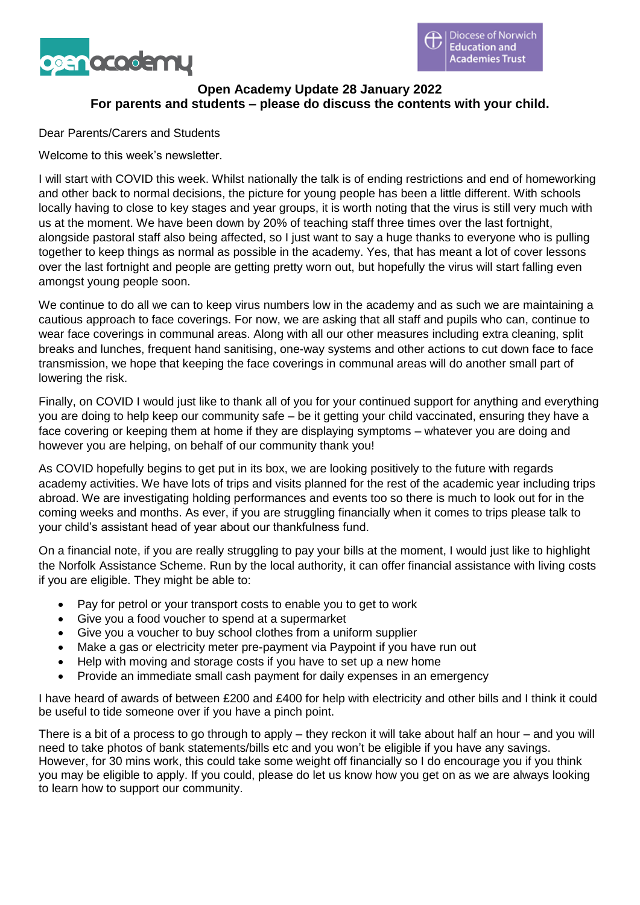

# **Open Academy Update 28 January 2022 For parents and students – please do discuss the contents with your child.**

Dear Parents/Carers and Students

Welcome to this week's newsletter.

I will start with COVID this week. Whilst nationally the talk is of ending restrictions and end of homeworking and other back to normal decisions, the picture for young people has been a little different. With schools locally having to close to key stages and year groups, it is worth noting that the virus is still very much with us at the moment. We have been down by 20% of teaching staff three times over the last fortnight, alongside pastoral staff also being affected, so I just want to say a huge thanks to everyone who is pulling together to keep things as normal as possible in the academy. Yes, that has meant a lot of cover lessons over the last fortnight and people are getting pretty worn out, but hopefully the virus will start falling even amongst young people soon.

We continue to do all we can to keep virus numbers low in the academy and as such we are maintaining a cautious approach to face coverings. For now, we are asking that all staff and pupils who can, continue to wear face coverings in communal areas. Along with all our other measures including extra cleaning, split breaks and lunches, frequent hand sanitising, one-way systems and other actions to cut down face to face transmission, we hope that keeping the face coverings in communal areas will do another small part of lowering the risk.

Finally, on COVID I would just like to thank all of you for your continued support for anything and everything you are doing to help keep our community safe – be it getting your child vaccinated, ensuring they have a face covering or keeping them at home if they are displaying symptoms – whatever you are doing and however you are helping, on behalf of our community thank you!

As COVID hopefully begins to get put in its box, we are looking positively to the future with regards academy activities. We have lots of trips and visits planned for the rest of the academic year including trips abroad. We are investigating holding performances and events too so there is much to look out for in the coming weeks and months. As ever, if you are struggling financially when it comes to trips please talk to your child's assistant head of year about our thankfulness fund.

On a financial note, if you are really struggling to pay your bills at the moment, I would just like to highlight the Norfolk Assistance Scheme. Run by the local authority, it can offer financial assistance with living costs if you are eligible. They might be able to:

- Pay for petrol or your transport costs to enable you to get to work
- Give you a food voucher to spend at a supermarket
- Give you a voucher to buy school clothes from a uniform supplier
- Make a gas or electricity meter pre-payment via Paypoint if you have run out
- Help with moving and storage costs if you have to set up a new home
- Provide an immediate small cash payment for daily expenses in an emergency

I have heard of awards of between £200 and £400 for help with electricity and other bills and I think it could be useful to tide someone over if you have a pinch point.

There is a bit of a process to go through to apply – they reckon it will take about half an hour – and you will need to take photos of bank statements/bills etc and you won't be eligible if you have any savings. However, for 30 mins work, this could take some weight off financially so I do encourage you if you think you may be eligible to apply. If you could, please do let us know how you get on as we are always looking to learn how to support our community.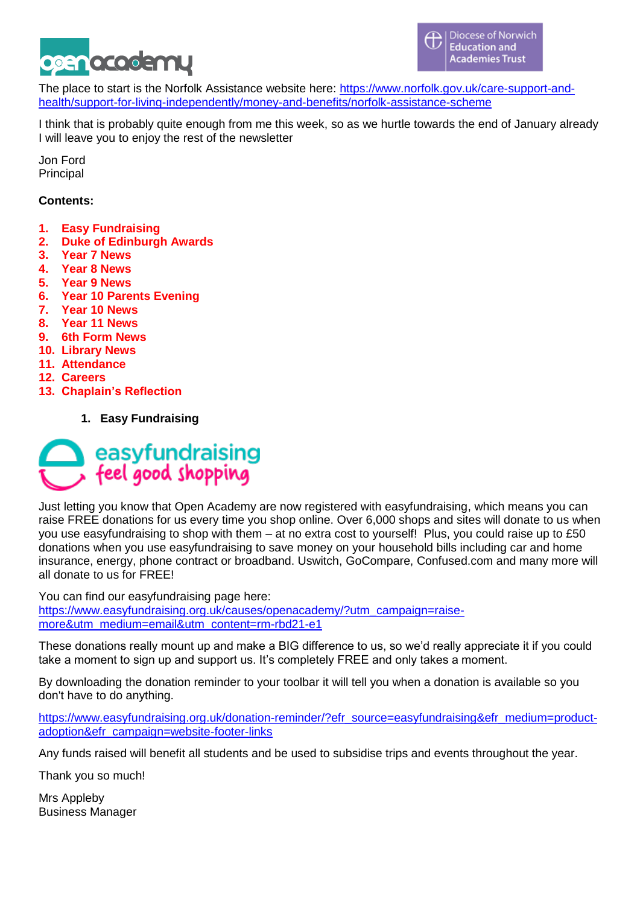

The place to start is the Norfolk Assistance website here: [https://www.norfolk.gov.uk/care-support-and](https://www.norfolk.gov.uk/care-support-and-health/support-for-living-independently/money-and-benefits/norfolk-assistance-scheme)[health/support-for-living-independently/money-and-benefits/norfolk-assistance-scheme](https://www.norfolk.gov.uk/care-support-and-health/support-for-living-independently/money-and-benefits/norfolk-assistance-scheme)

I think that is probably quite enough from me this week, so as we hurtle towards the end of January already I will leave you to enjoy the rest of the newsletter

Jon Ford Principal

### **Contents:**

- **1. Easy Fundraising**
- **2. Duke of Edinburgh Awards**
- **3. Year 7 News**
- **4. Year 8 News**
- **5. Year 9 News**
- **6. Year 10 Parents Evening**
- **7. Year 10 News**
- **8. Year 11 News**
- **9. 6th Form News**
- **10. Library News**
- **11. Attendance**
- **12. Careers**
- **13. Chaplain's Reflection**
	- **1. Easy Fundraising**



Just letting you know that Open Academy are now registered with easyfundraising, which means you can raise FREE donations for us every time you shop online. Over 6,000 shops and sites will donate to us when you use easyfundraising to shop with them – at no extra cost to yourself! Plus, you could raise up to £50 donations when you use easyfundraising to save money on your household bills including car and home insurance, energy, phone contract or broadband. Uswitch, GoCompare, Confused.com and many more will all donate to us for FREE!

You can find our easyfundraising page here: [https://www.easyfundraising.org.uk/causes/openacademy/?utm\\_campaign=raise](https://www.easyfundraising.org.uk/causes/openacademy/?utm_campaign=raise-more&utm_medium=email&utm_content=rm-rbd21-e1)[more&utm\\_medium=email&utm\\_content=rm-rbd21-e1](https://www.easyfundraising.org.uk/causes/openacademy/?utm_campaign=raise-more&utm_medium=email&utm_content=rm-rbd21-e1)

These donations really mount up and make a BIG difference to us, so we'd really appreciate it if you could take a moment to sign up and support us. It's completely FREE and only takes a moment.

By downloading the donation reminder to your toolbar it will tell you when a donation is available so you don't have to do anything.

[https://www.easyfundraising.org.uk/donation-reminder/?efr\\_source=easyfundraising&efr\\_medium=product](https://www.easyfundraising.org.uk/donation-reminder/?efr_source=easyfundraising&efr_medium=product-adoption&efr_campaign=website-footer-links)[adoption&efr\\_campaign=website-footer-links](https://www.easyfundraising.org.uk/donation-reminder/?efr_source=easyfundraising&efr_medium=product-adoption&efr_campaign=website-footer-links)

Any funds raised will benefit all students and be used to subsidise trips and events throughout the year.

Thank you so much!

Mrs Appleby Business Manager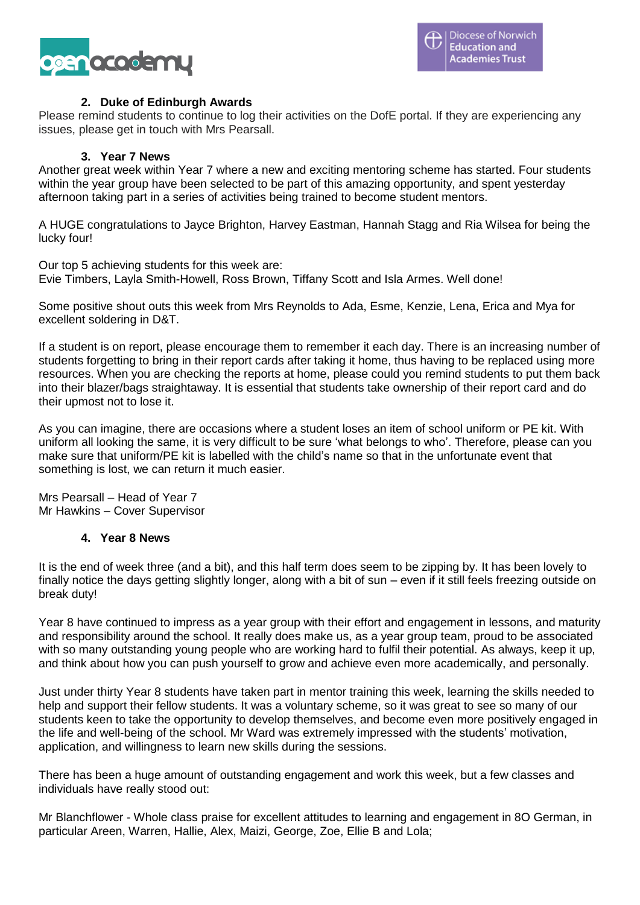

#### **2. Duke of Edinburgh Awards**

Please remind students to continue to log their activities on the DofE portal. If they are experiencing any issues, please get in touch with Mrs Pearsall.

#### **3. Year 7 News**

Another great week within Year 7 where a new and exciting mentoring scheme has started. Four students within the year group have been selected to be part of this amazing opportunity, and spent yesterday afternoon taking part in a series of activities being trained to become student mentors.

A HUGE congratulations to Jayce Brighton, Harvey Eastman, Hannah Stagg and Ria Wilsea for being the lucky four!

Our top 5 achieving students for this week are: Evie Timbers, Layla Smith-Howell, Ross Brown, Tiffany Scott and Isla Armes. Well done!

Some positive shout outs this week from Mrs Reynolds to Ada, Esme, Kenzie, Lena, Erica and Mya for excellent soldering in D&T.

If a student is on report, please encourage them to remember it each day. There is an increasing number of students forgetting to bring in their report cards after taking it home, thus having to be replaced using more resources. When you are checking the reports at home, please could you remind students to put them back into their blazer/bags straightaway. It is essential that students take ownership of their report card and do their upmost not to lose it.

As you can imagine, there are occasions where a student loses an item of school uniform or PE kit. With uniform all looking the same, it is very difficult to be sure 'what belongs to who'. Therefore, please can you make sure that uniform/PE kit is labelled with the child's name so that in the unfortunate event that something is lost, we can return it much easier.

Mrs Pearsall – Head of Year 7 Mr Hawkins – Cover Supervisor

#### **4. Year 8 News**

It is the end of week three (and a bit), and this half term does seem to be zipping by. It has been lovely to finally notice the days getting slightly longer, along with a bit of sun – even if it still feels freezing outside on break duty!

Year 8 have continued to impress as a year group with their effort and engagement in lessons, and maturity and responsibility around the school. It really does make us, as a year group team, proud to be associated with so many outstanding young people who are working hard to fulfil their potential. As always, keep it up, and think about how you can push yourself to grow and achieve even more academically, and personally.

Just under thirty Year 8 students have taken part in mentor training this week, learning the skills needed to help and support their fellow students. It was a voluntary scheme, so it was great to see so many of our students keen to take the opportunity to develop themselves, and become even more positively engaged in the life and well-being of the school. Mr Ward was extremely impressed with the students' motivation, application, and willingness to learn new skills during the sessions.

There has been a huge amount of outstanding engagement and work this week, but a few classes and individuals have really stood out:

Mr Blanchflower - Whole class praise for excellent attitudes to learning and engagement in 8O German, in particular Areen, Warren, Hallie, Alex, Maizi, George, Zoe, Ellie B and Lola;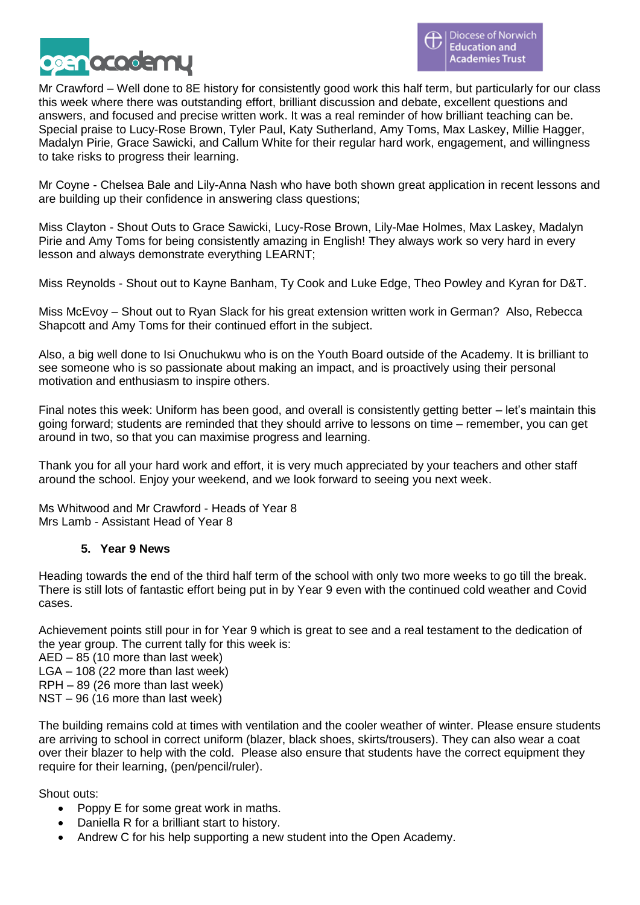

Mr Crawford – Well done to 8E history for consistently good work this half term, but particularly for our class this week where there was outstanding effort, brilliant discussion and debate, excellent questions and answers, and focused and precise written work. It was a real reminder of how brilliant teaching can be. Special praise to Lucy-Rose Brown, Tyler Paul, Katy Sutherland, Amy Toms, Max Laskey, Millie Hagger, Madalyn Pirie, Grace Sawicki, and Callum White for their regular hard work, engagement, and willingness to take risks to progress their learning.

Mr Coyne - Chelsea Bale and Lily-Anna Nash who have both shown great application in recent lessons and are building up their confidence in answering class questions;

Miss Clayton - Shout Outs to Grace Sawicki, Lucy-Rose Brown, Lily-Mae Holmes, Max Laskey, Madalyn Pirie and Amy Toms for being consistently amazing in English! They always work so very hard in every lesson and always demonstrate everything LEARNT;

Miss Reynolds - Shout out to Kayne Banham, Ty Cook and Luke Edge, Theo Powley and Kyran for D&T.

Miss McEvoy – Shout out to Ryan Slack for his great extension written work in German? Also, Rebecca Shapcott and Amy Toms for their continued effort in the subject.

Also, a big well done to Isi Onuchukwu who is on the Youth Board outside of the Academy. It is brilliant to see someone who is so passionate about making an impact, and is proactively using their personal motivation and enthusiasm to inspire others.

Final notes this week: Uniform has been good, and overall is consistently getting better – let's maintain this going forward; students are reminded that they should arrive to lessons on time – remember, you can get around in two, so that you can maximise progress and learning.

Thank you for all your hard work and effort, it is very much appreciated by your teachers and other staff around the school. Enjoy your weekend, and we look forward to seeing you next week.

Ms Whitwood and Mr Crawford - Heads of Year 8 Mrs Lamb - Assistant Head of Year 8

#### **5. Year 9 News**

Heading towards the end of the third half term of the school with only two more weeks to go till the break. There is still lots of fantastic effort being put in by Year 9 even with the continued cold weather and Covid cases.

Achievement points still pour in for Year 9 which is great to see and a real testament to the dedication of the year group. The current tally for this week is:

AED – 85 (10 more than last week) LGA – 108 (22 more than last week) RPH – 89 (26 more than last week)

NST – 96 (16 more than last week)

The building remains cold at times with ventilation and the cooler weather of winter. Please ensure students are arriving to school in correct uniform (blazer, black shoes, skirts/trousers). They can also wear a coat over their blazer to help with the cold. Please also ensure that students have the correct equipment they require for their learning, (pen/pencil/ruler).

Shout outs:

- Poppy E for some great work in maths.
- Daniella R for a brilliant start to history.
- Andrew C for his help supporting a new student into the Open Academy.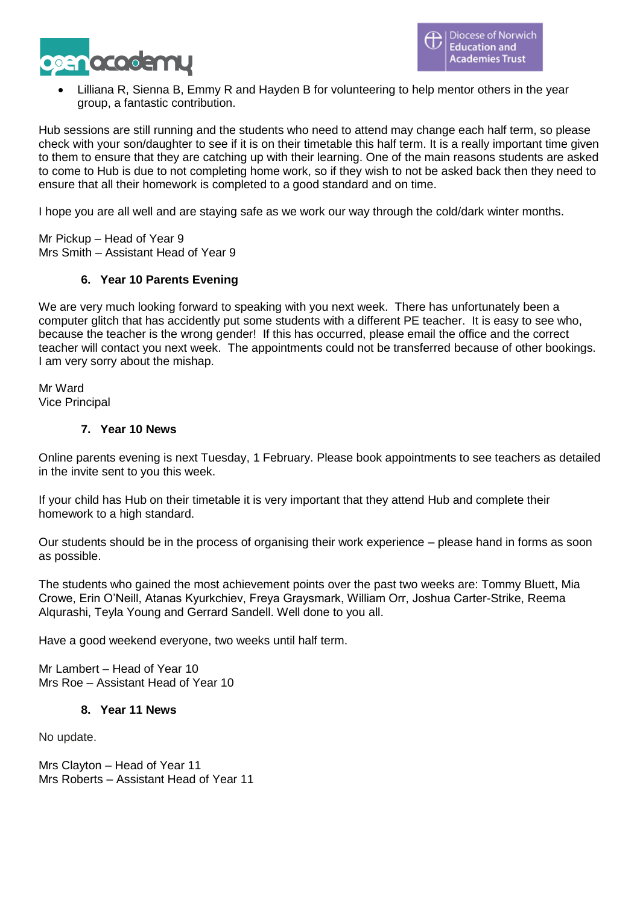

• Lilliana R, Sienna B, Emmy R and Hayden B for volunteering to help mentor others in the year group, a fantastic contribution.

Hub sessions are still running and the students who need to attend may change each half term, so please check with your son/daughter to see if it is on their timetable this half term. It is a really important time given to them to ensure that they are catching up with their learning. One of the main reasons students are asked to come to Hub is due to not completing home work, so if they wish to not be asked back then they need to ensure that all their homework is completed to a good standard and on time.

I hope you are all well and are staying safe as we work our way through the cold/dark winter months.

Mr Pickup – Head of Year 9 Mrs Smith – Assistant Head of Year 9

### **6. Year 10 Parents Evening**

We are very much looking forward to speaking with you next week. There has unfortunately been a computer glitch that has accidently put some students with a different PE teacher. It is easy to see who, because the teacher is the wrong gender! If this has occurred, please email the office and the correct teacher will contact you next week. The appointments could not be transferred because of other bookings. I am very sorry about the mishap.

Mr Ward Vice Principal

#### **7. Year 10 News**

Online parents evening is next Tuesday, 1 February. Please book appointments to see teachers as detailed in the invite sent to you this week.

If your child has Hub on their timetable it is very important that they attend Hub and complete their homework to a high standard.

Our students should be in the process of organising their work experience – please hand in forms as soon as possible.

The students who gained the most achievement points over the past two weeks are: Tommy Bluett, Mia Crowe, Erin O'Neill, Atanas Kyurkchiev, Freya Graysmark, William Orr, Joshua Carter-Strike, Reema Alqurashi, Teyla Young and Gerrard Sandell. Well done to you all.

Have a good weekend everyone, two weeks until half term.

Mr Lambert – Head of Year 10 Mrs Roe – Assistant Head of Year 10

#### **8. Year 11 News**

No update.

Mrs Clayton – Head of Year 11 Mrs Roberts – Assistant Head of Year 11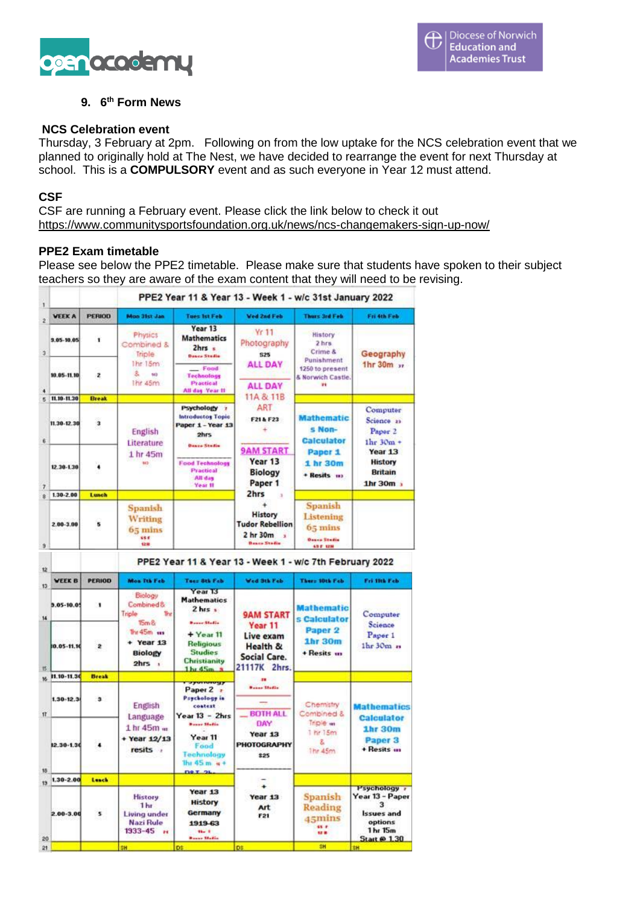

### **9. 6 th Form News**

#### **NCS Celebration event**

Thursday, 3 February at 2pm. Following on from the low uptake for the NCS celebration event that we planned to originally hold at The Nest, we have decided to rearrange the event for next Thursday at school. This is a **COMPULSORY** event and as such everyone in Year 12 must attend.

#### **CSF**

CSF are running a February event. Please click the link below to check it out <https://www.communitysportsfoundation.org.uk/news/ncs-changemakers-sign-up-now/>

#### **PPE2 Exam timetable**

Please see below the PPE2 timetable. Please make sure that students have spoken to their subject teachers so they are aware of the exam content that they will need to be revising.

| <b>VEEK A</b>                 |               |                                                                                                                     |                                                                                         |                                                                                 |                                                                                           |                                                                                                                                 |
|-------------------------------|---------------|---------------------------------------------------------------------------------------------------------------------|-----------------------------------------------------------------------------------------|---------------------------------------------------------------------------------|-------------------------------------------------------------------------------------------|---------------------------------------------------------------------------------------------------------------------------------|
|                               | <b>PERIOD</b> | <b>Mon 31st Jan</b>                                                                                                 | <b>Tues Ist Feb</b>                                                                     | <b>Ved 2nd Feb</b>                                                              | <b>Thurs 3rd Feb.</b>                                                                     | Fri 4th Feb                                                                                                                     |
| 3.05-10.05                    | ۲             | Physics<br>Combined &<br><b>Triple</b><br>The 15m                                                                   | Year 13<br><b>Mathematics</b><br>2hrs<br><b>Dence Studio</b><br>Food                    | Yr 11<br>Photography<br><b>S25</b><br><b>ALL DAY</b>                            | History<br>2 hrs<br>Crime &<br>Punishment<br>1250 to present                              | Geography<br>1hr $30m$ $n$                                                                                                      |
| 10.05-11.10                   | z             | $2 - 2$<br>wà<br>lifit 45m                                                                                          | Technology<br><b>Practical</b><br>All day Year II                                       | <b>ALL DAY</b>                                                                  | & Norwich Castle.<br><b>st</b>                                                            |                                                                                                                                 |
| 11.10-11.30                   | <b>Break</b>  |                                                                                                                     |                                                                                         | 11A & 11B                                                                       |                                                                                           |                                                                                                                                 |
| 11.30-12.30                   | 3             | English<br>Literature<br>1 hr 45m<br><b>M2</b>                                                                      | Psychology 1<br><b>Introductos Topic</b><br>Paper 1 - Year 13<br>2hrs                   | ART<br>F21&F23<br>÷<br><b>9AM START</b><br>Year 13<br><b>Biology</b><br>Paper 1 | <b>Mathematic</b><br>s Non-<br><b>Calculator</b><br>Paper 1<br>1 hr 30m<br>+ Resits = 112 | Computer<br>Science 21<br>Paper <sub>2</sub><br>$1hr$ 30 $m$ +<br>Year 13<br><b>History</b><br><b>Britain</b><br>$1hr$ 30 $m$ , |
| 12.30-1.30                    | ٠             |                                                                                                                     | <b>Dence Studie</b><br><b>Food Technology</b><br><b>Practical</b><br>All day<br>Year II |                                                                                 |                                                                                           |                                                                                                                                 |
| 1.30-2.00                     | Lunch         |                                                                                                                     |                                                                                         | 2hrs                                                                            |                                                                                           |                                                                                                                                 |
| 2.00-3.00                     | 5             | Spanish<br>Writing<br>$65 \text{ mins}$<br>68.8<br>住住                                                               |                                                                                         | History<br><b>Tudor Rebellion</b><br>2 hr 30m<br><b>Beaco Stadio</b>            | Spanish<br>Listening<br>$65 \,\mathrm{mins}$<br><b>Dance Studio</b><br><b>65 F 1210</b>   |                                                                                                                                 |
|                               |               |                                                                                                                     |                                                                                         | PPE2 Year 11 & Year 13 - Week 1 - w/c 7th February 2022                         |                                                                                           |                                                                                                                                 |
| <b>WEEK B</b>                 | <b>PERIOD</b> | Mon Tth Feb                                                                                                         | Tues 8th Feb                                                                            | Wed Stk Feb                                                                     | <b>Thurs 10th Feb</b>                                                                     | Fri 10k Feb.                                                                                                                    |
| $3.05 - 10.05$                | 1             | Biologu<br>Combined &<br><b>Thr</b><br>Triple<br>T5cm &<br>The 45m xxx<br>$+$ Year 13<br><b>Biology</b><br>$2hrs$ , | Year <sub>13</sub><br><b>Mathematics</b><br>$2$ hrs $\pm$<br><b>Basser Modie</b>        | <b>9AM START</b>                                                                | <b>Mathematic</b><br>s Calculator                                                         | Computer                                                                                                                        |
|                               |               |                                                                                                                     |                                                                                         |                                                                                 |                                                                                           |                                                                                                                                 |
|                               | 2             |                                                                                                                     | $+$ Year 11<br><b>Religious</b><br><b>Studies</b><br><b>Christianity</b><br>$1hr$ $4Sm$ | Year 11<br>Live exam<br>Health &<br><b>Social Care.</b><br>21117K 2hrs.         | Paper <sub>2</sub><br><b>1hr 30m</b><br>+ Resits in                                       | Science<br>Paper <sub>1</sub><br>$1hr30mn$                                                                                      |
| 10.05-11.10<br>16 11.10-11.30 | <b>Break</b>  |                                                                                                                     | <b>PERMIT</b>                                                                           |                                                                                 |                                                                                           |                                                                                                                                 |
| $1.30 - 12.3$                 | з             | <b>English</b>                                                                                                      | Paper 2 =<br>Psychology in<br>context<br>Year $13 - 2$ hrs                              | <b>Basse Stadio</b><br><b>BOTH ALL</b>                                          | Chemistry<br>Combined &                                                                   |                                                                                                                                 |
|                               |               | Language<br>1 hr 45m m<br>+ Year 12/13<br>resits ,                                                                  | <b>Press Madis</b><br>Year <sub>11</sub><br>Food<br>Technology<br>The $45m +$           | DAY<br>Year 13<br>PHOTOGRAPHY<br>\$25                                           | Triple wi<br>1 hr 15m<br>z.<br>The 45m                                                    | <b>Mathematics</b><br><b>Calculator</b><br><b>1hr 30m</b><br>Paper <sub>3</sub><br>+ Resits in                                  |
| 12.30-1.30<br>1.30-2.00       | Lanch         |                                                                                                                     | <b>DRI 2L</b>                                                                           |                                                                                 |                                                                                           |                                                                                                                                 |
| $2.00 - 3.00$                 | 2             | <b>History</b><br>1 hr<br><b>Living under</b><br><b>Nazi Rule</b><br>$1933 - 45$ $\mu$                              | Year 13<br><b>History</b><br>Germany<br>1919-63<br>the f<br><b>Basse Madia</b>          | Year 13<br>Art<br>F21                                                           | Spanish<br>Reading<br>45mins<br>88.8<br><b>12 B</b>                                       | Psychology r<br>Year 13 - Paper<br>з<br><b>Issues and</b><br>options<br>1 hr 15m<br><b>Start @ 1.30</b>                         |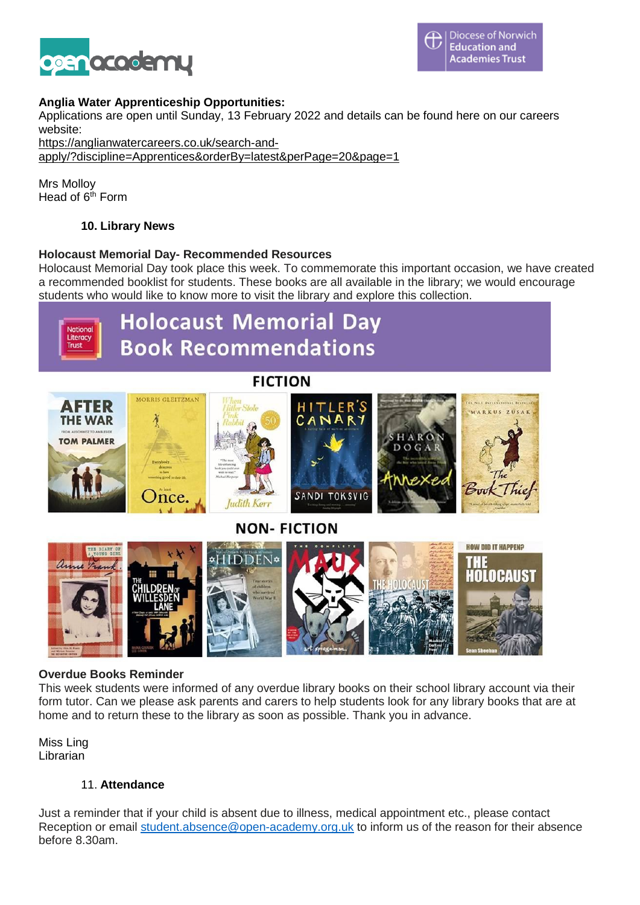

### **Anglia Water Apprenticeship Opportunities:**

Applications are open until Sunday, 13 February 2022 and details can be found here on our careers website:

[https://anglianwatercareers.co.uk/search-and](https://anglianwatercareers.co.uk/search-and-apply/?discipline=Apprentices&orderBy=latest&perPage=20&page=1)[apply/?discipline=Apprentices&orderBy=latest&perPage=20&page=1](https://anglianwatercareers.co.uk/search-and-apply/?discipline=Apprentices&orderBy=latest&perPage=20&page=1)

Mrs Molloy Head of 6th Form

## **10. Library News**

#### **Holocaust Memorial Day- Recommended Resources**

Holocaust Memorial Day took place this week. To commemorate this important occasion, we have created a recommended booklist for students. These books are all available in the library; we would encourage students who would like to know more to visit the library and explore this collection.



#### **Overdue Books Reminder**

This week students were informed of any overdue library books on their school library account via their form tutor. Can we please ask parents and carers to help students look for any library books that are at home and to return these to the library as soon as possible. Thank you in advance.

Miss Ling Librarian

#### 11. **Attendance**

Just a reminder that if your child is absent due to illness, medical appointment etc., please contact Reception or email [student.absence@open-academy.org.uk](mailto:student.absence@open-academy.org.uk) to inform us of the reason for their absence before 8.30am.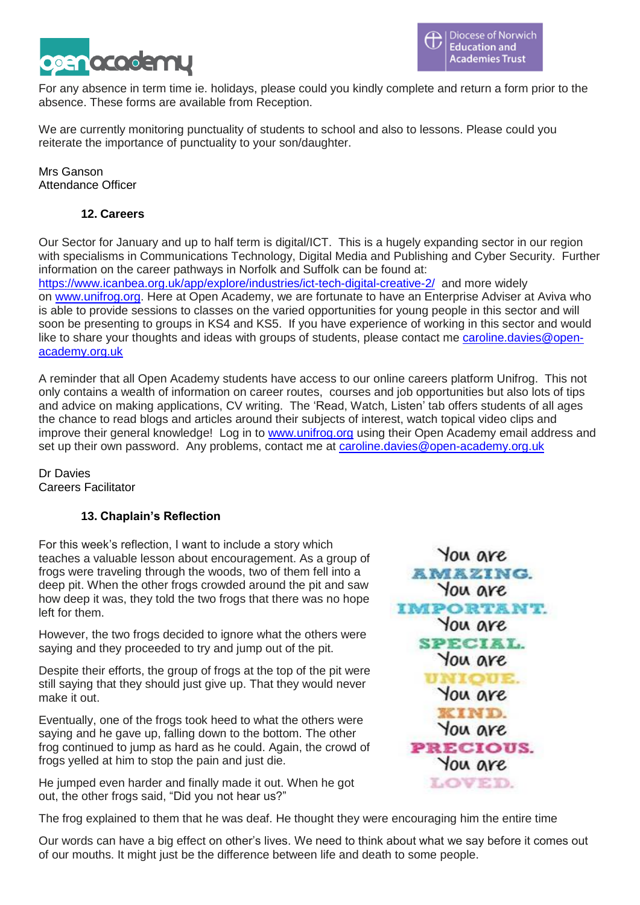

For any absence in term time ie. holidays, please could you kindly complete and return a form prior to the absence. These forms are available from Reception.

We are currently monitoring punctuality of students to school and also to lessons. Please could you reiterate the importance of punctuality to your son/daughter.

Mrs Ganson Attendance Officer

## **12. Careers**

Our Sector for January and up to half term is digital/ICT. This is a hugely expanding sector in our region with specialisms in Communications Technology, Digital Media and Publishing and Cyber Security. Further information on the career pathways in Norfolk and Suffolk can be found at: <https://www.icanbea.org.uk/app/explore/industries/ict-tech-digital-creative-2/>and more widely on [www.unifrog.org.](http://www.unifrog.org/) Here at Open Academy, we are fortunate to have an Enterprise Adviser at Aviva who is able to provide sessions to classes on the varied opportunities for young people in this sector and will soon be presenting to groups in KS4 and KS5. If you have experience of working in this sector and would like to share your thoughts and ideas with groups of students, please contact me [caroline.davies@open](mailto:caroline.davies@open-academy.org.uk)[academy.org.uk](mailto:caroline.davies@open-academy.org.uk)

A reminder that all Open Academy students have access to our online careers platform Unifrog. This not only contains a wealth of information on career routes, courses and job opportunities but also lots of tips and advice on making applications, CV writing. The 'Read, Watch, Listen' tab offers students of all ages the chance to read blogs and articles around their subjects of interest, watch topical video clips and improve their general knowledge! Log in to [www.unifrog.org](http://www.unifrog.org/) using their Open Academy email address and set up their own password. Any problems, contact me at [caroline.davies@open-academy.org.uk](mailto:caroline.davies@open-academy.org.uk)

Dr Davies Careers Facilitator

## **13. Chaplain's Reflection**

For this week's reflection, I want to include a story which teaches a valuable lesson about encouragement. As a group of frogs were traveling through the woods, two of them fell into a deep pit. When the other frogs crowded around the pit and saw how deep it was, they told the two frogs that there was no hope left for them.

However, the two frogs decided to ignore what the others were saying and they proceeded to try and jump out of the pit.

Despite their efforts, the group of frogs at the top of the pit were still saying that they should just give up. That they would never make it out.

Eventually, one of the frogs took heed to what the others were saying and he gave up, falling down to the bottom. The other frog continued to jump as hard as he could. Again, the crowd of frogs yelled at him to stop the pain and just die.

He jumped even harder and finally made it out. When he got out, the other frogs said, "Did you not hear us?"

The frog explained to them that he was deaf. He thought they were encouraging him the entire time

Our words can have a big effect on other's lives. We need to think about what we say before it comes out of our mouths. It might just be the difference between life and death to some people.